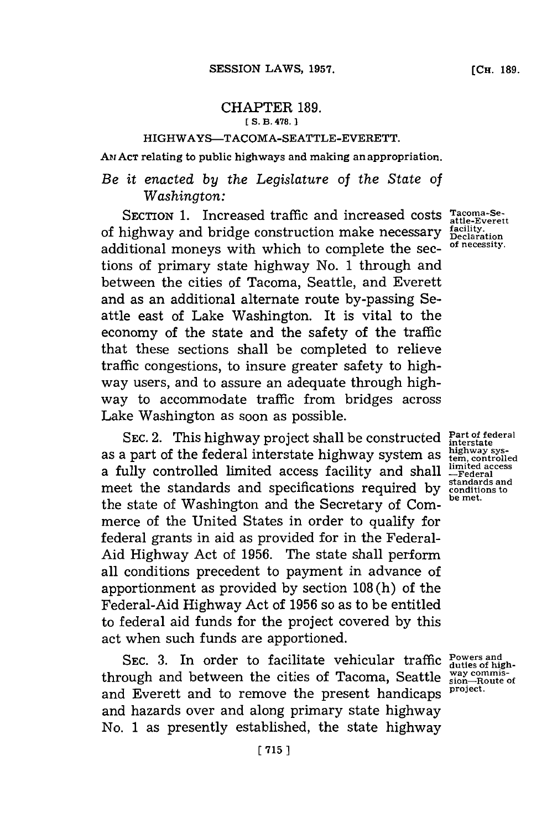## CHAPTER **189. [ S. B. 478. 1**

## HIGHWAYS-TACOMA-SEATTLE-EVERETT.

AM ACT relating to public highways and making an appropriation.

## *Be it enacted by the Legislature of the State of Washington:*

SECTION 1. Increased traffic and increased costs Tacoma-Se of highway and bridge construction make necessary additional moneys with which to complete the sec-**of necessity.** tions of primary state highway No. **1** through and between the cities of Tacoma, Seattle, and Everett and as an additional alternate route by-passing Seattle east of Lake Washington. It is vital to the economy of the state and the safety of the traffic that these sections shall be completed to relieve traffic congestions, to insure greater safety to highway users, and to assure an adequate through highway to accommodate traffic from bridges across Lake Washington as soon as possible.

SEC. 2. This highway project shall be constructed  $\frac{Part\ of\ federal}{interface}$ as a part of the federal interstate highway system as a fully controlled limited access facility and shall meet the standards and specifications required **by** the state of Washington and the Secretary **of** Commerce of the United States in order to qualify for federal grants in aid as provided for in the Federal-Aid Highway Act of **1956.** The state shall perform all conditions precedent to payment in advance of apportionment as provided **by** section **108** (h) of the Federal-Aid Highway Act of **1956** so as to be entitled to federal aid funds for the project covered by this act when such funds are apportioned.

SEC. 3. In order to facilitate vehicular traffic through and between the cities of Tacoma, Seattle **wyay commis-sion-Route of** and Everett and to remove the present handicaps and hazards over and along primary state highway No. **1** as presently established, the state highway

**attle-Everett facility. Declaration**

**highway sys- tem, controlled limited access -Federal standards and conditions to be met.**

**Powers and duties of highproject.**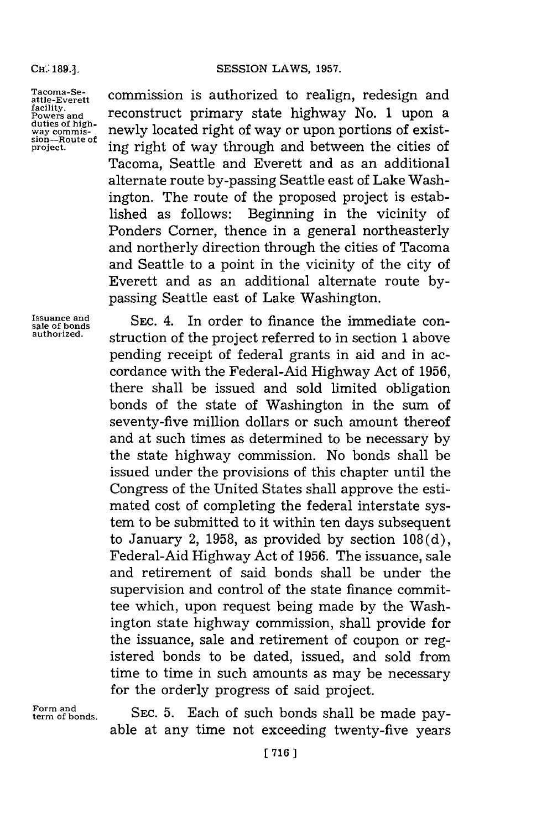**duties of highsion-Route of.**

Tacoma-Se-<br>
attle-Everett **commission** is authorized to realign, redesign and<br>
facility. facility.<br>Powers and **reconstruct** primary state highway No. 1 upon a **way commis-** newly located right of way or upon portions of exist**project.** ing right of way through and between the cities of Tacoma, Seattle and Everett and as an additional alternate route by-passing Seattle east of Lake Washington. The route of the proposed project is established as follows: Beginning in the vicinity of Ponders Corner, thence in a general northeasterly and northerly direction through the cities of Tacoma and Seattle to a point in the vicinity of the city of Everett and as an additional alternate route **by**passing Seattle east of Lake Washington.

Issuance and **SEC. 4.** In order to finance the immediate consideration of the project property of  $\frac{1}{2}$  and  $\frac{1}{2}$  reports  $\frac{1}{2}$  reports  $\frac{1}{2}$  reports  $\frac{1}{2}$  reports in  $\frac{1}{2}$  reports  $\frac{1}{2}$  reports **authorized.** struction of the project referred to in section **1** above pending receipt of federal grants in aid and in accordance with the Federal-Aid Highway Act of **1956,** there shall be issued and sold limited obligation bonds of the state of Washington in the sum of seventy-five million dollars or such amount thereof and at such times as determined to be necessary **by** the state highway commission. No bonds shall be issued under the provisions of this chapter until the Congress of the United States shall approve the estimated cost of completing the federal interstate system to be submitted to it within ten days subsequent to January 2, **1958,** as provided **by** section **108 (d),** Federal-Aid Highway Act of **1956.** The issuance, sale and retirement of said bonds shall be under the supervision and control of the state finance committee which, upon request being made **by** the Washington state highway commission, shall provide for the issuance, sale and retirement of coupon or registered bonds to be dated, issued, and sold from time to time in such amounts as may be necessary for the orderly progress of said project.

**Form and**

SEC. 5. Each of such bonds shall be made payable at any time not exceeding twenty-five years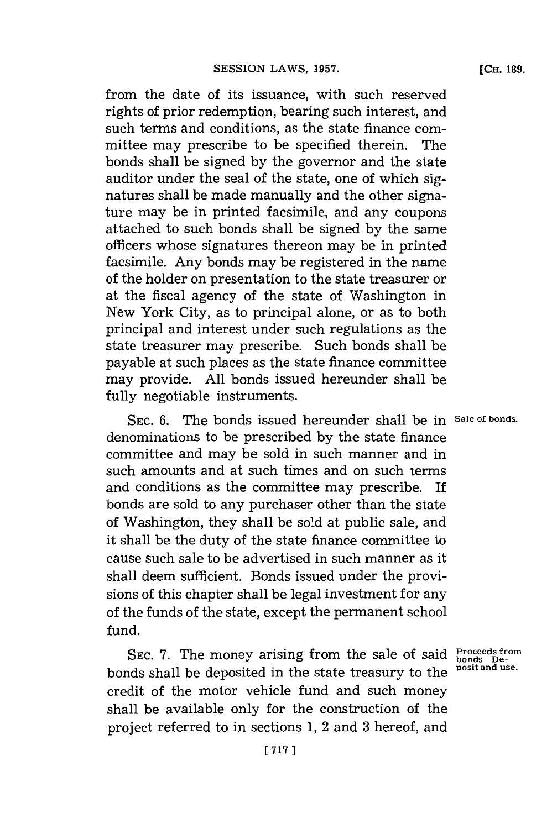from the date of its issuance, with such reserved rights of prior redemption, bearing such interest, and such terms and conditions, as the state finance committee may prescribe to be specified therein. The bonds shall be signed **by** the governor and the state auditor under the seal of the state, one of which signatures shall be made manually and the other signature may be in printed facsimile, and any coupons attached to such bonds shall be signed **by** the same officers whose signatures thereon may be in printed facsimile. Any bonds may be registered in the name of the holder on presentation to the state treasurer or at the fiscal agency of the state of Washington in New York City, as to principal alone, or as to both principal and interest under such regulations as the state treasurer may prescribe. Such bonds shall be payable at such places as the state finance committee may provide. **All** bonds issued hereunder shall be fully negotiable instruments.

**SEC. 6.** The bonds issued hereunder shall be in **Sale of bonds.** denominations to be prescribed **by** the state finance committee and may be sold in such manner and in such amounts and at such times and on such terms and conditions as the committee may prescribe. If bonds are sold to any purchaser other than the state of Washington, they shall be sold at public sale, and it shall be the duty of the state finance committee to cause such sale to be advertised in such manner as it shall deem sufficient. Bonds issued under the provisions of this chapter shall be legal investment for any of the funds of the state, except the permanent school fund.

**SEC. 7.** The money arising from the sale of said **Proceeds from** bonds shall be deposited in the state treasury to the **posit and use.** credit of the motor vehicle fund and such money shall be available only for the construction of the project referred to in sections **1,** 2 and **3** hereof, and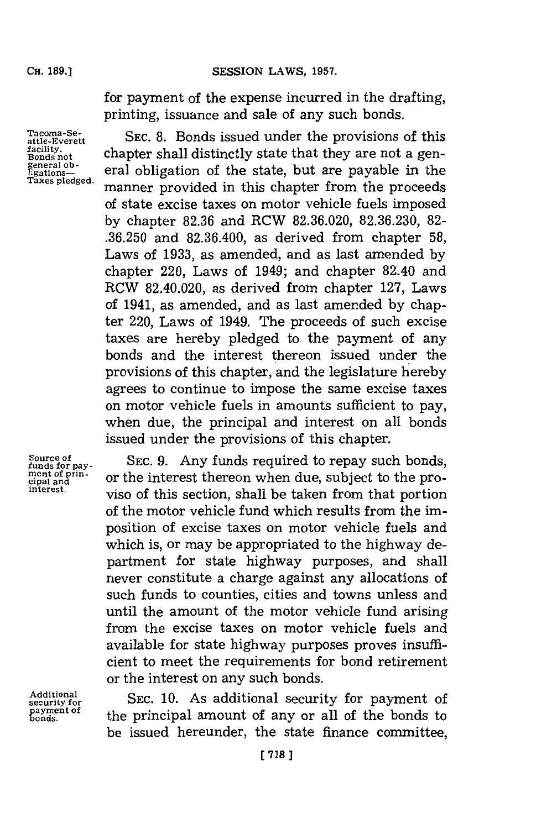**SESSION LAWS, 1957.** 

for payment of the expense incurred in the drafting, printing, issuance and sale of any such bonds.

**Tacoma-Seattle-Everett facility. Bonds not general ob-ligationa-Taxea pledged.**

**SEC. 8.** Bonds issued under the provisions of this chapter shall distinctly state that they are not a general obligation of the state, but are payable in the manner provided in this chapter from the proceeds of state excise taxes on motor vehicle fuels imposed **by** chapter **82.36** and RCW **82.36.020, 82.36.230, 82- .36.250** and **82.36.400,** as derived from chapter **58,** Laws of **1933,** as amended, and as last amended **by** chapter 220, Laws of 1949; and chapter 82.40 and RCW 82.40.020, as derived from chapter **127,** Laws of 1941, as amended, and as last amended **by** chapter 220, Laws of 1949. The proceeds of such excise taxes are hereby pledged to the payment of any bonds and the interest thereon issued under the provisions of this chapter, and the legislature hereby agrees to continue to impose the same excise taxes on motor vehicle fuels in amounts sufficient to pay, when due, the principal and interest on all bonds issued under the provisions of this chapter.

**Source of funds for pay-ment of principal and interest.**

**Additional security for payment of onda.**

**SEC. 9.** Any funds required to repay such bonds, or the interest thereon when due, subject to the proviso of this section, shall be taken from that portion of the motor vehicle fund which results from the imposition of excise taxes on motor vehicle fuels and which is, or may be appropriated to the highway department for state highway purposes, and shall never constitute a charge against any allocations of such funds to counties, cities and towns unless and until the amount of the motor vehicle fund arising from the excise taxes on motor vehicle fuels and available for state highway purposes proves insufficient to meet the requirements for bond retirement or the interest on any such bonds.

**SEC. 10.** As additional security for payment of the principal amount of any or all of the bonds to be issued hereunder, the state finance committee,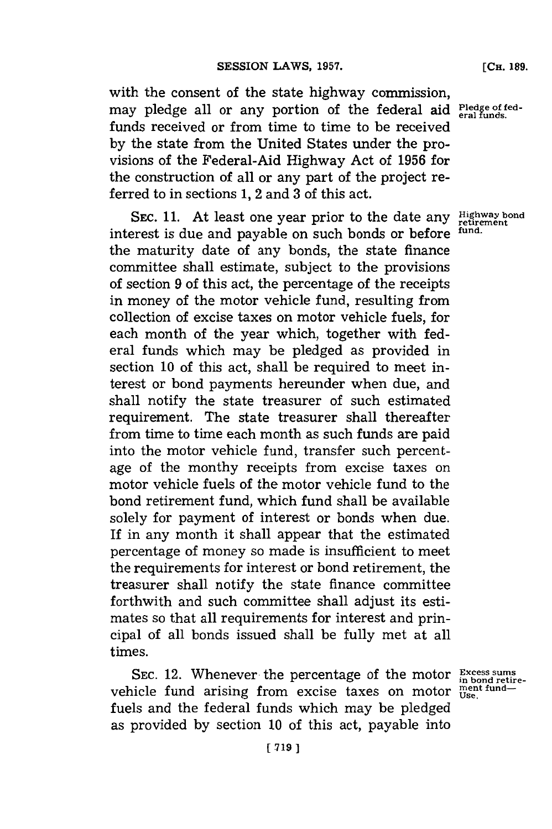with the consent of the state highway commission, may pledge all or any portion of the federal aid **Pledge of fed**funds received or from time to time to be received **by** the state from the United States under the provisions of the Federal-Aid Highway Act of **1956** for the construction of all or any part of the project referred to in sections **1,** 2 and **3** of this act.

SEC. 11. At least one year prior to the date any **Highway** bond interest is due and payable on such bonds or before **fund.** the maturity date of any bonds, the state finance committee shall estimate, subject to the provisions of section **9** of this act, the percentage of the receipts in money of the motor vehicle fund, resulting from collection of excise taxes on motor vehicle fuels, for each month of the year which, together with federal funds which may be pledged as provided in section **10** of this act, shall be required to meet interest or bond payments hereunder when due, and shall notify the state treasurer of such estimated requirement. The state treasurer shall thereafter from time to time each month as such funds are paid into the motor vehicle fund, transfer such percentage of the monthy receipts from excise taxes on motor vehicle fuels of the motor vehicle fund to the bond retirement fund, which fund shall be available solely for payment of interest or bonds when due. If in any month it shall appear that the estimated percentage of money so made is insufficient to meet the requirements for interest or bond retirement, the treasurer shall notify the state finance committee forthwith and such committee shall adjust its estimates so that all requirements for interest and principal of all bonds issued shall be fully met at all times.

SEC. 12. Whenever the percentage of the motor **Excess sums** *in bond retire*vehicle fund arising from excise taxes on motor **USBE** Undfuels and the federal funds which may be pledged as provided **by** section **10** of this act, payable into